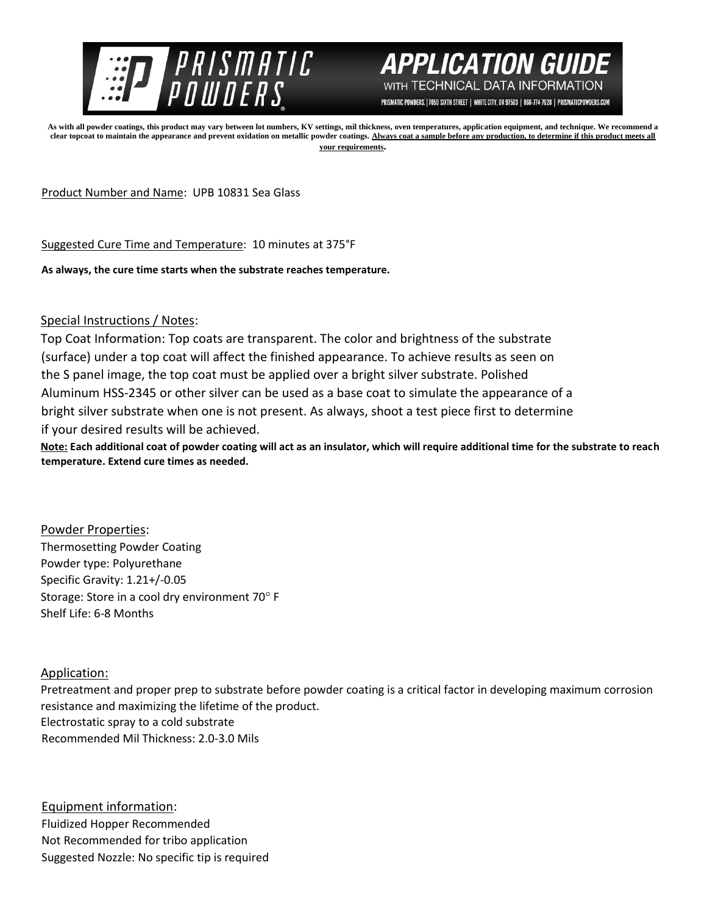



PRISMATIC POWDERS. | 7050 SIXTH STREET | WHITE CITY, OR 97503 | 866-774-7628 | PRISMATICPOWDERS.COM

**As with all powder coatings, this product may vary between lot numbers, KV settings, mil thickness, oven temperatures, application equipment, and technique. We recommend a clear topcoat to maintain the appearance and prevent oxidation on metallic powder coatings. Always coat a sample before any production, to determine if this product meets all your requirements.** 

Product Number and Name: UPB 10831 Sea Glass

Suggested Cure Time and Temperature: 10 minutes at 375°F

**As always, the cure time starts when the substrate reaches temperature.**

Special Instructions / Notes:

Top Coat Information: Top coats are transparent. The color and brightness of the substrate (surface) under a top coat will affect the finished appearance. To achieve results as seen on the S panel image, the top coat must be applied over a bright silver substrate. Polished Aluminum HSS-2345 or other silver can be used as a base coat to simulate the appearance of a bright silver substrate when one is not present. As always, shoot a test piece first to determine if your desired results will be achieved.

**Note: Each additional coat of powder coating will act as an insulator, which will require additional time for the substrate to reach temperature. Extend cure times as needed.** 

Powder Properties: Thermosetting Powder Coating Powder type: Polyurethane Specific Gravity: 1.21+/-0.05 Storage: Store in a cool dry environment 70° F Shelf Life: 6-8 Months

## Application:

Pretreatment and proper prep to substrate before powder coating is a critical factor in developing maximum corrosion resistance and maximizing the lifetime of the product. Electrostatic spray to a cold substrate Recommended Mil Thickness: 2.0-3.0 Mils

Equipment information: Fluidized Hopper Recommended Not Recommended for tribo application Suggested Nozzle: No specific tip is required